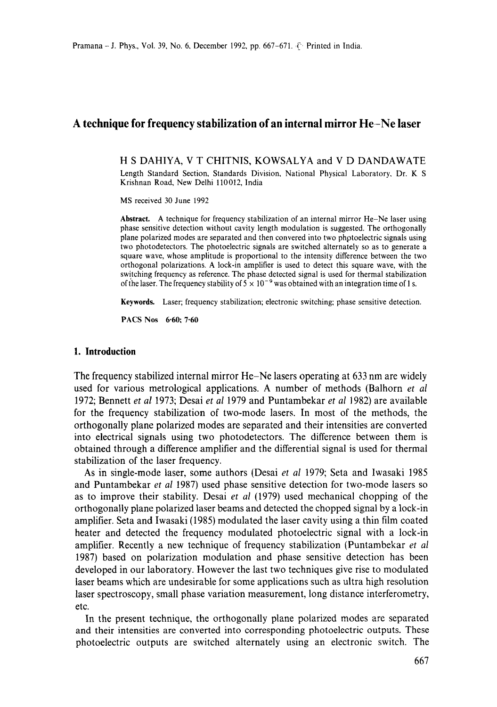# **A technique for frequency stabilization of an internal mirror He-Ne laser**

H S DAHIYA, V T CHITNIS, KOWSALYA and V D DANDAWATE Length Standard Section, Standards Division, National Physical Laboratory, Dr. K S Krishnan Road, New Delhi 110012, India

MS received 30 June 1992

**Abstract.** A technique for frequency stabilization of an internal mirror He-Ne laser using phase sensitive detection without cavity length modulation is suggested. The orthogonally plane polarized modes are separated and then convered into two phptoelectric signals using two photodetectors. The photoelectric signals are switched alternately so as to generate a square wave, whose amplitude is proportional to the intensity difference between the two orthogonal polarizations. A lock-in amplifier is used to detect this square wave, with the switching frequency as reference. The phase detected signal is used for thermal stabilization of the laser. The frequency stability of  $5 \times 10^{-9}$  was obtained with an integration time of 1 s.

**Keywords.** Laser; frequency stabilization; electronic switching; phase sensitive detection.

PACS Nos 6.60; 7.60

#### **1. Introduction**

The frequency stabilized internal mirror He-Ne lasers operating at 633 nm are widely used for various metrological applications. A number of methods (Balhorn *et al*  1972; Bennett *et al* 1973; Desai *et al* 1979 and Puntambekar *et al* 1982) are available for the frequency stabilization of two-mode lasers. In most of the methods, the orthogonally plane polarized modes are separated and their intensities are converted into electrical signals using two photodetectors. The difference between them is obtained through a difference amplifier and the differential signal is used for thermal stabilization of the laser frequency.

As in single-mode laser, some authors (Desai et *al* 1979; Seta and Iwasaki 1985 and Puntambekar *et al* 1987) used phase sensitive detection for two-mode lasers so as to improve their stability. Desai *et al* (1979) used mechanical chopping of the orthogona!ly plane polarized laser beams and detected the chopped signal by a lock-in amplifier. Seta and Iwasaki (1985) modulated the laser cavity using a thin film coated heater and detected the frequency modulated photoelectric signal with a lock-in amplifier. Recently a new technique of frequency stabilization (Puntambekar *et al*  1987) based on polarization modulation and phase sensitive detection has been developed in our laboratory. However the last two techniques give rise to modulated laser beams which are undesirable for some applications such as ultra high resolution laser spectroscopy, small phase variation measurement, long distance interferometry, etc.

In the present technique, the orthogonally plane polarized modes are separated and their intensities are converted into corresponding photoelectric outputs. These photoelectric outputs are switched alternately using an electronic switch. The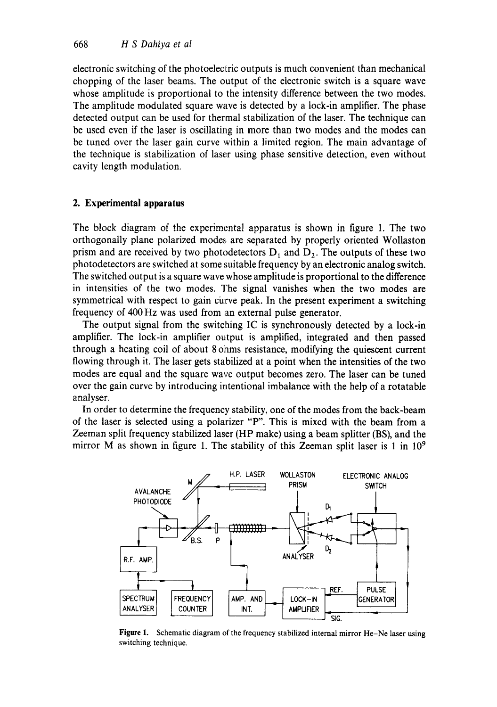electronic switching of the photoelectric outputs is much convenient than mechanical chopping of the laser beams. The output of the electronic switch is a square wave whose amplitude is proportional to the intensity difference between the two modes. The amplitude modulated square wave is detected by a lock-in amplifier. The phase detected output can be used for thermal stabilization of the laser. The technique can be used even if the laser is oscillating in more than two modes and the modes can be tuned over the laser gain curve within a limited region. The main advantage of the technique is stabilization of laser using phase sensitive detection, even without cavity length modulation.

#### **2. Experimental apparatus**

The block diagram of the experimental apparatus is shown in figure 1. The two orthogonally plane polarized modes are separated by properly oriented Wollaston prism and are received by two photodetectors  $D_1$  and  $D_2$ . The outputs of these two photodetectors are switched at some suitable frequency by an electronic analog switch. The switched output is a square wave whose amplitude is proportional to the difference in intensities of the two modes. The signal vanishes when the two modes are symmetrical with respect to gain curve peak. In the present experiment a switching frequency of 400 Hz was used from an external pulse generator,

The output signal from the switching IC is synchronously detected by a lock-in amplifier. The lock-in amplifier output is amplified, integrated and then passed through a heating coil of about 8 ohms resistance, modifying the quiescent current flowing through it. The laser gets stabilized at a point when the intensities of the two modes are equal and the square wave output becomes zero. The laser can be tuned over the gain curve by introducing intentional imbalance with the help of a rotatable analyser.

In order to determine the frequency stability, one of the modes from the back-beam of the laser is selected using a polarizer "P". This is mixed with the beam from a Zeeman split frequency stabilized laser (HP make) using a beam splitter (BS), and the mirror M as shown in figure 1. The stability of this Zeeman split laser is 1 in  $10^9$ 



Figure 1. Schematic diagram of the frequency stabilized internal mirror He-Ne laser using switching technique.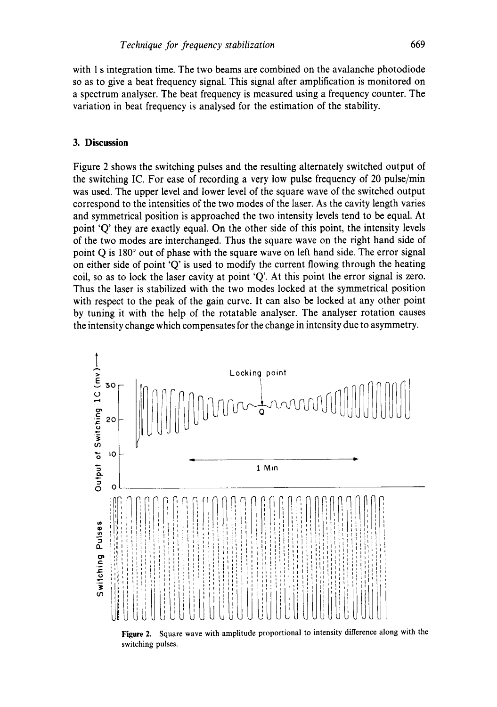**with 1 s integration time. The two beams are combined on the avalanche photodiode so as to give a beat frequency signal. This signal after amplification is monitored on a spectrum analyser. The beat frequency is measured using a frequency counter. The variation in beat frequency is analysed for the estimation of the stability.** 

### **3. Discussion**

**Figure 2 shows the switching pulses and the resulting alternately switched output of the switching IC. For ease of recording a very low pulse frequency of 20 pulse/min was used. The upper level and lower level of the square wave of the switched output correspond to the intensities of the two modes of the laser. As the cavity length varies and symmetrical position is approached the two intensity levels tend to be equal. At point 'Q' they are exactly equal. On the other side of this point, the intensity levels of the two modes are interchanged. Thus the square wave on the right hand side of**  point Q is 180<sup>°</sup> out of phase with the square wave on left hand side. The error signal **on either side of point 'Q' is used to modify the current flowing through the heating coil, so as to lock the laser cavity at point 'Q'. At this point the error signal is zero. Thus the laser is stabilized with the two modes locked at the symmetrical position with respect to the peak of the gain curve. It can also be locked at any other point by tuning it with the help of the rotatable analyser. The analyser rotation causes the intensity change which compensates for the change in intensity due to asymmetry.** 



**switching pulses.**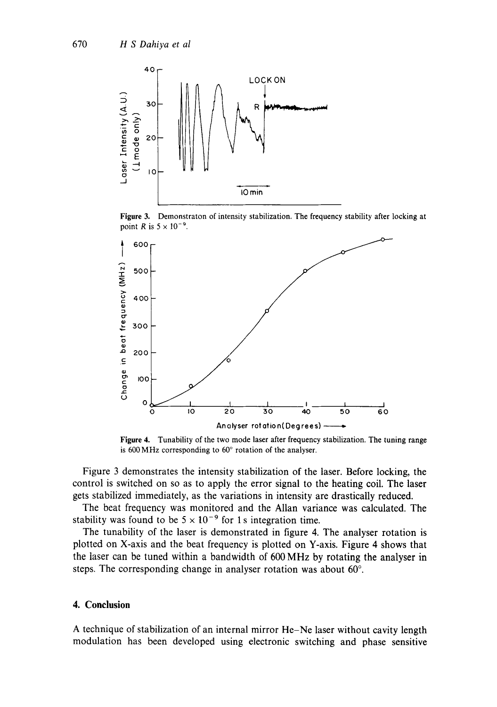

Figure 3. Demonstraton of intensity stabilization. The frequency stability after locking at point R is  $5 \times 10^{-9}$ .



**Figure** 4. Tunability of the two mode laser after frequency stabilization. The tuning range is  $600 \text{ MHz}$  corresponding to  $60^{\circ}$  rotation of the analyser.

Figure 3 demonstrates the intensity stabilization of the laser. Before locking, the control is switched on so as to apply the error signal to the heating coil. The laser gets stabilized immediately, as the variations in intensity are drastically reduced.

The beat frequency was monitored and the Allan variance was calculated. The stability was found to be  $5 \times 10^{-9}$  for 1 s integration time.

The tunability of the laser is demonstrated in figure 4. The analyser rotation is plotted on X-axis and the beat frequency is plotted on Y-axis. Figure 4 shows that the laser can be tuned within a bandwidth of 600 MHz by rotating the analyser in steps. The corresponding change in analyser rotation was about  $60^\circ$ .

## **4. Conclusion**

**A technique of stabilization of an internal mirror He-Ne laser without cavity length modulation has been developed using electronic switching and phase sensitive**